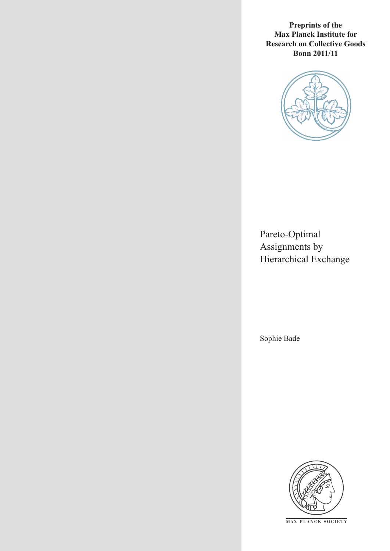**Preprints of the Max Planck Institute for Research on Collective Goods Bonn 2011/11**



Pareto-Optimal Assignments by Hierarchical Exchange

Sophie Bade



**M AX PLANCK SOCIETY**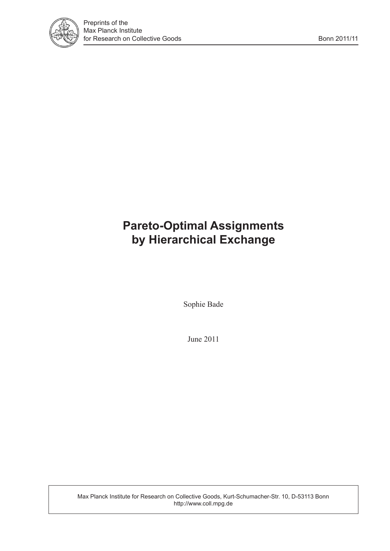

## **Pareto-Optimal Assignments by Hierarchical Exchange**

Sophie Bade

June 2011

Max Planck Institute for Research on Collective Goods, Kurt-Schumacher-Str. 10, D-53113 Bonn http://www.coll.mpg.de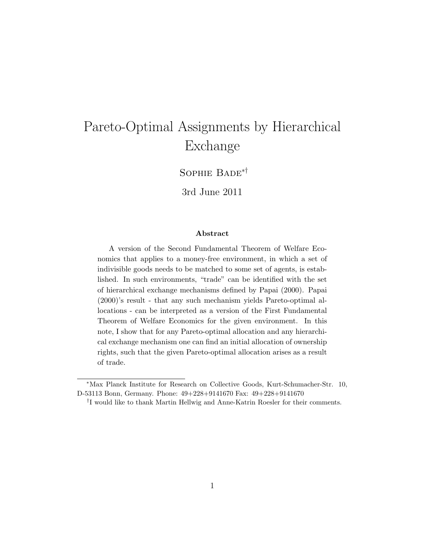# Pareto-Optimal Assignments by Hierarchical Exchange

Sophie Bade∗†

3rd June 2011

#### Abstract

A version of the Second Fundamental Theorem of Welfare Economics that applies to a money-free environment, in which a set of indivisible goods needs to be matched to some set of agents, is established. In such environments, "trade" can be identified with the set of hierarchical exchange mechanisms defined by Papai (2000). Papai (2000)'s result - that any such mechanism yields Pareto-optimal allocations - can be interpreted as a version of the First Fundamental Theorem of Welfare Economics for the given environment. In this note, I show that for any Pareto-optimal allocation and any hierarchical exchange mechanism one can find an initial allocation of ownership rights, such that the given Pareto-optimal allocation arises as a result of trade.

<sup>∗</sup>Max Planck Institute for Research on Collective Goods, Kurt-Schumacher-Str. 10, D-53113 Bonn, Germany. Phone: 49+228+9141670 Fax: 49+228+9141670

<sup>†</sup> I would like to thank Martin Hellwig and Anne-Katrin Roesler for their comments.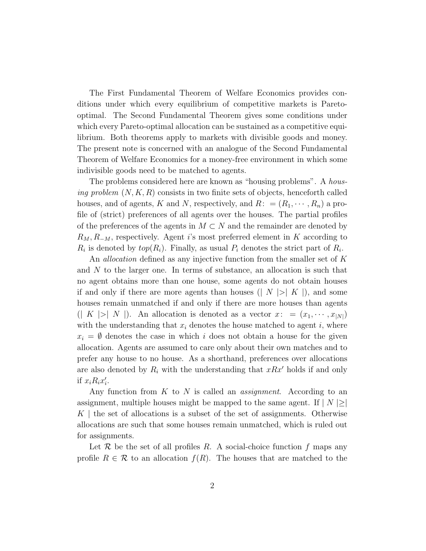The First Fundamental Theorem of Welfare Economics provides conditions under which every equilibrium of competitive markets is Paretooptimal. The Second Fundamental Theorem gives some conditions under which every Pareto-optimal allocation can be sustained as a competitive equilibrium. Both theorems apply to markets with divisible goods and money. The present note is concerned with an analogue of the Second Fundamental Theorem of Welfare Economics for a money-free environment in which some indivisible goods need to be matched to agents.

The problems considered here are known as "housing problems". A *hous*ing problem  $(N, K, R)$  consists in two finite sets of objects, henceforth called houses, and of agents, K and N, respectively, and  $R: = (R_1, \dots, R_n)$  a profile of (strict) preferences of all agents over the houses. The partial profiles of the preferences of the agents in  $M \subset N$  and the remainder are denoted by  $R_M, R_{-M}$ , respectively. Agent i's most preferred element in K according to  $R_i$  is denoted by  $top(R_i)$ . Finally, as usual  $P_i$  denotes the strict part of  $R_i$ .

An *allocation* defined as any injective function from the smaller set of K and N to the larger one. In terms of substance, an allocation is such that no agent obtains more than one house, some agents do not obtain houses if and only if there are more agents than houses ( $|N| > |K|$ ), and some houses remain unmatched if and only if there are more houses than agents  $(| K | > | N |)$ . An allocation is denoted as a vector  $x: = (x_1, \dots, x_{|N|})$ with the understanding that  $x_i$  denotes the house matched to agent i, where  $x_i = \emptyset$  denotes the case in which i does not obtain a house for the given allocation. Agents are assumed to care only about their own matches and to prefer any house to no house. As a shorthand, preferences over allocations are also denoted by  $R_i$  with the understanding that  $xRx'$  holds if and only if  $x_i R_i x'_i$ .

Any function from  $K$  to  $N$  is called an *assignment*. According to an assignment, multiple houses might be mapped to the same agent. If  $|N| \ge$  $K \downharpoonright$  the set of allocations is a subset of the set of assignments. Otherwise allocations are such that some houses remain unmatched, which is ruled out for assignments.

Let  $\mathcal R$  be the set of all profiles  $R$ . A social-choice function  $f$  maps any profile  $R \in \mathcal{R}$  to an allocation  $f(R)$ . The houses that are matched to the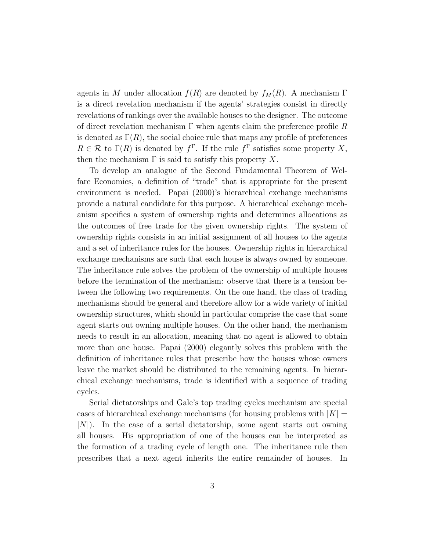agents in M under allocation  $f(R)$  are denoted by  $f<sub>M</sub>(R)$ . A mechanism  $\Gamma$ is a direct revelation mechanism if the agents' strategies consist in directly revelations of rankings over the available houses to the designer. The outcome of direct revelation mechanism  $\Gamma$  when agents claim the preference profile R is denoted as  $\Gamma(R)$ , the social choice rule that maps any profile of preferences  $R \in \mathcal{R}$  to  $\Gamma(R)$  is denoted by  $f^{\Gamma}$ . If the rule  $f^{\Gamma}$  satisfies some property X, then the mechanism  $\Gamma$  is said to satisfy this property X.

To develop an analogue of the Second Fundamental Theorem of Welfare Economics, a definition of "trade" that is appropriate for the present environment is needed. Papai (2000)'s hierarchical exchange mechanisms provide a natural candidate for this purpose. A hierarchical exchange mechanism specifies a system of ownership rights and determines allocations as the outcomes of free trade for the given ownership rights. The system of ownership rights consists in an initial assignment of all houses to the agents and a set of inheritance rules for the houses. Ownership rights in hierarchical exchange mechanisms are such that each house is always owned by someone. The inheritance rule solves the problem of the ownership of multiple houses before the termination of the mechanism: observe that there is a tension between the following two requirements. On the one hand, the class of trading mechanisms should be general and therefore allow for a wide variety of initial ownership structures, which should in particular comprise the case that some agent starts out owning multiple houses. On the other hand, the mechanism needs to result in an allocation, meaning that no agent is allowed to obtain more than one house. Papai (2000) elegantly solves this problem with the definition of inheritance rules that prescribe how the houses whose owners leave the market should be distributed to the remaining agents. In hierarchical exchange mechanisms, trade is identified with a sequence of trading cycles.

Serial dictatorships and Gale's top trading cycles mechanism are special cases of hierarchical exchange mechanisms (for housing problems with  $|K| =$  $|N|$ . In the case of a serial dictatorship, some agent starts out owning all houses. His appropriation of one of the houses can be interpreted as the formation of a trading cycle of length one. The inheritance rule then prescribes that a next agent inherits the entire remainder of houses. In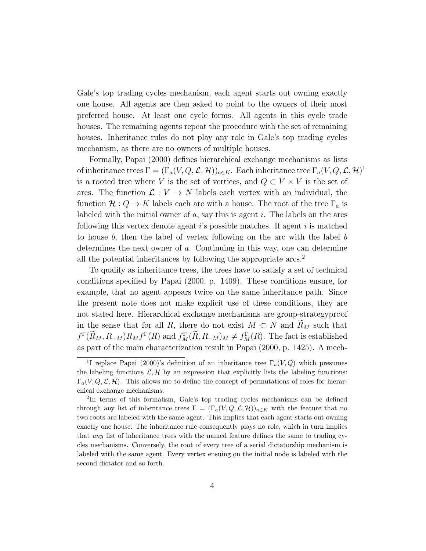Gale's top trading cycles mechanism, each agent starts out owning exactly one house. All agents are then asked to point to the owners of their most preferred house. At least one cycle forms. All agents in this cycle trade houses. The remaining agents repeat the procedure with the set of remaining houses. Inheritance rules do not play any role in Gale's top trading cycles mechanism, as there are no owners of multiple houses.

Formally, Papai (2000) defines hierarchical exchange mechanisms as lists of inheritance trees  $\Gamma = (\Gamma_a(V, Q, \mathcal{L}, \mathcal{H}))_{a \in K}$ . Each inheritance tree  $\Gamma_a(V, Q, \mathcal{L}, \mathcal{H})^1$ is a rooted tree where V is the set of vertices, and  $Q \subset V \times V$  is the set of arcs. The function  $\mathcal{L}: V \to N$  labels each vertex with an individual, the function  $\mathcal{H}: Q \to K$  labels each arc with a house. The root of the tree  $\Gamma_a$  is labeled with the initial owner of  $a$ , say this is agent i. The labels on the arcs following this vertex denote agent  $i$ 's possible matches. If agent  $i$  is matched to house  $b$ , then the label of vertex following on the arc with the label  $b$ determines the next owner of a. Continuing in this way, one can determine all the potential inheritances by following the appropriate arcs.<sup>2</sup>

To qualify as inheritance trees, the trees have to satisfy a set of technical conditions specified by Papai (2000, p. 1409). These conditions ensure, for example, that no agent appears twice on the same inheritance path. Since the present note does not make explicit use of these conditions, they are not stated here. Hierarchical exchange mechanisms are group-strategyproof in the sense that for all R, there do not exist  $M \subset N$  and  $\widetilde{R}_M$  such that  $f^{\Gamma}(\tilde{R}_M, R_{-M})R_M f^{\Gamma}(R)$  and  $f^{\Gamma}_M(\tilde{R}, R_{-M})_M \neq f^{\Gamma}_M(R)$ . The fact is established as part of the main characterization result in Papai (2000, p. 1425). A mech-

<sup>&</sup>lt;sup>1</sup>I replace Papai (2000)'s definition of an inheritance tree  $\Gamma_a(V,Q)$  which presumes the labeling functions  $\mathcal{L}, \mathcal{H}$  by an expression that explicitly lists the labeling functions:  $\Gamma_a(V,Q,\mathcal{L},\mathcal{H})$ . This allows me to define the concept of permutations of roles for hierarchical exchange mechanisms.

<sup>&</sup>lt;sup>2</sup>In terms of this formalism, Gale's top trading cycles mechanisms can be defined through any list of inheritance trees  $\Gamma = (\Gamma_a(V,Q,\mathcal{L},\mathcal{H}))_{a \in K}$  with the feature that no two roots are labeled with the same agent. This implies that each agent starts out owning exactly one house. The inheritance rule consequently plays no role, which in turn implies that any list of inheritance trees with the named feature defines the same to trading cycles mechanisms. Conversely, the root of every tree of a serial dictatorship mechanism is labeled with the same agent. Every vertex ensuing on the initial node is labeled with the second dictator and so forth.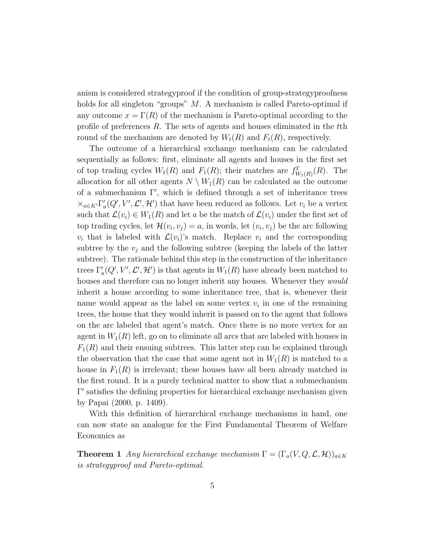anism is considered strategyproof if the condition of group-strategyproofness holds for all singleton "groups" M. A mechanism is called Pareto-optimal if any outcome  $x = \Gamma(R)$  of the mechanism is Pareto-optimal according to the profile of preferences R. The sets of agents and houses eliminated in the tth round of the mechanism are denoted by  $W_t(R)$  and  $F_t(R)$ , respectively.

The outcome of a hierarchical exchange mechanism can be calculated sequentially as follows: first, eliminate all agents and houses in the first set of top trading cycles  $W_1(R)$  and  $F_1(R)$ ; their matches are  $f_{W_1(R)}^{\Gamma}(R)$ . The allocation for all other agents  $N \setminus W_1(R)$  can be calculated as the outcome of a submechanism  $\Gamma'$ , which is defined through a set of inheritance trees  $\times_{a\in K'}\Gamma'_a(Q',V',\mathcal{L}',\mathcal{H}')$  that have been reduced as follows. Let  $v_i$  be a vertex such that  $\mathcal{L}(v_i) \in W_1(R)$  and let a be the match of  $\mathcal{L}(v_i)$  under the first set of top trading cycles, let  $\mathcal{H}(v_i, v_j) = a$ , in words, let  $(v_i, v_j)$  be the arc following  $v_i$  that is labeled with  $\mathcal{L}(v_i)$ 's match. Replace  $v_i$  and the corresponding subtree by the  $v_j$  and the following subtree (keeping the labels of the latter subtree). The rationale behind this step in the construction of the inheritance trees  $\Gamma_a'(Q', V', \mathcal{L}', \mathcal{H}')$  is that agents in  $W_1(R)$  have already been matched to houses and therefore can no longer inherit any houses. Whenever they *would* inherit a house according to some inheritance tree, that is, whenever their name would appear as the label on some vertex  $v_i$  in one of the remaining trees, the house that they would inherit is passed on to the agent that follows on the arc labeled that agent's match. Once there is no more vertex for an agent in  $W_1(R)$  left, go on to eliminate all arcs that are labeled with houses in  $F_1(R)$  and their ensuing subtrees. This latter step can be explained through the observation that the case that some agent not in  $W_1(R)$  is matched to a house in  $F_1(R)$  is irrelevant; these houses have all been already matched in the first round. It is a purely technical matter to show that a submechanism Γ 0 satisfies the defining properties for hierarchical exchange mechanism given by Papai (2000, p. 1409).

With this definition of hierarchical exchange mechanisms in hand, one can now state an analogue for the First Fundamental Theorem of Welfare Economics as

**Theorem 1** Any hierarchical exchange mechanism  $\Gamma = (\Gamma_a(V,Q,\mathcal{L},\mathcal{H}))_{a \in K}$ is strategyproof and Pareto-optimal.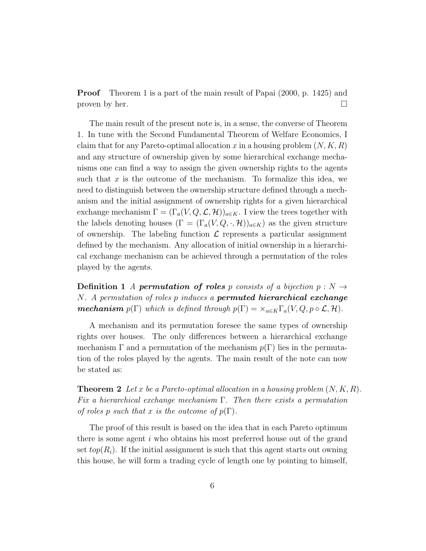Proof Theorem 1 is a part of the main result of Papai (2000, p. 1425) and proven by her.  $\square$ 

The main result of the present note is, in a sense, the converse of Theorem 1. In tune with the Second Fundamental Theorem of Welfare Economics, I claim that for any Pareto-optimal allocation x in a housing problem  $(N, K, R)$ and any structure of ownership given by some hierarchical exchange mechanisms one can find a way to assign the given ownership rights to the agents such that  $x$  is the outcome of the mechanism. To formalize this idea, we need to distinguish between the ownership structure defined through a mechanism and the initial assignment of ownership rights for a given hierarchical exchange mechanism  $\Gamma = (\Gamma_a(V,Q,\mathcal{L},\mathcal{H}))_{a \in K}$ . I view the trees together with the labels denoting houses  $(\Gamma = (\Gamma_a(V,Q,\cdot,\mathcal{H}))_{a\in K})$  as the given structure of ownership. The labeling function  $\mathcal L$  represents a particular assignment defined by the mechanism. Any allocation of initial ownership in a hierarchical exchange mechanism can be achieved through a permutation of the roles played by the agents.

**Definition 1** A **permutation of roles** p consists of a bijection  $p : N \rightarrow$ N. A permutation of roles p induces a **permuted hierarchical exchange mechanism**  $p(\Gamma)$  which is defined through  $p(\Gamma) = \times_{a \in K} \Gamma_a(V, Q, p \circ \mathcal{L}, \mathcal{H})$ .

A mechanism and its permutation foresee the same types of ownership rights over houses. The only differences between a hierarchical exchange mechanism  $\Gamma$  and a permutation of the mechanism  $p(\Gamma)$  lies in the permutation of the roles played by the agents. The main result of the note can now be stated as:

**Theorem 2** Let x be a Pareto-optimal allocation in a housing problem  $(N, K, R)$ . Fix a hierarchical exchange mechanism  $\Gamma$ . Then there exists a permutation of roles p such that x is the outcome of  $p(\Gamma)$ .

The proof of this result is based on the idea that in each Pareto optimum there is some agent  $i$  who obtains his most preferred house out of the grand set  $top(R_i)$ . If the initial assignment is such that this agent starts out owning this house, he will form a trading cycle of length one by pointing to himself,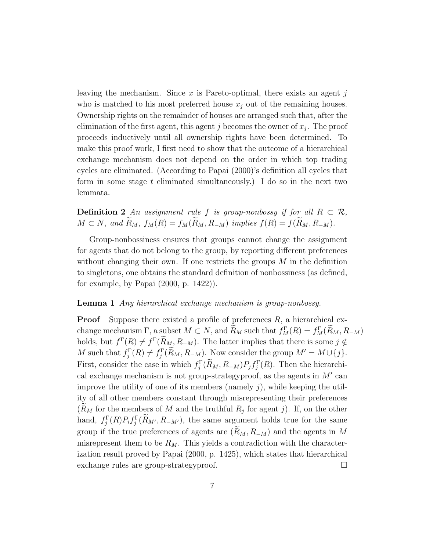leaving the mechanism. Since  $x$  is Pareto-optimal, there exists an agent j who is matched to his most preferred house  $x_i$  out of the remaining houses. Ownership rights on the remainder of houses are arranged such that, after the elimination of the first agent, this agent  $j$  becomes the owner of  $x_j$ . The proof proceeds inductively until all ownership rights have been determined. To make this proof work, I first need to show that the outcome of a hierarchical exchange mechanism does not depend on the order in which top trading cycles are eliminated. (According to Papai (2000)'s definition all cycles that form in some stage t eliminated simultaneously.) I do so in the next two lemmata.

**Definition 2** An assignment rule f is group-nonbossy if for all  $R \subset \mathcal{R}$ ,  $M \subset N$ , and  $\widetilde{R}_M$ ,  $f_M(R) = f_M(\widetilde{R}_M, R_{-M})$  implies  $f(R) = f(\widetilde{R}_M, R_{-M}).$ 

Group-nonbossiness ensures that groups cannot change the assignment for agents that do not belong to the group, by reporting different preferences without changing their own. If one restricts the groups  $M$  in the definition to singletons, one obtains the standard definition of nonbossiness (as defined, for example, by Papai (2000, p. 1422)).

#### Lemma 1 Any hierarchical exchange mechanism is group-nonbossy.

**Proof** Suppose there existed a profile of preferences  $R$ , a hierarchical exchange mechanism  $\Gamma$ , a subset  $M \subset N$ , and  $R_M$  such that  $f_M^{\Gamma}(R) = f_M^{\Gamma}(R_M, R_M)$ holds, but  $f^{\Gamma}(R) \neq f^{\Gamma}(\tilde{R}_M, R_{-M})$ . The latter implies that there is some  $j \notin$ M such that  $f_j^{\Gamma}(R) \neq f_j^{\Gamma}(\tilde{R}_M, R_{-M})$ . Now consider the group  $M' = M \cup \{j\}$ . First, consider the case in which  $f_j^{\Gamma}(\tilde{R}_M, R_{-M}) P_j f_j^{\Gamma}(R)$ . Then the hierarchical exchange mechanism is not group-strategyproof, as the agents in  $M'$  can improve the utility of one of its members (namely  $i$ ), while keeping the utility of all other members constant through misrepresenting their preferences  $(R_M$  for the members of M and the truthful  $R_j$  for agent j). If, on the other hand,  $f_j^{\Gamma}(R)P_i f_j^{\Gamma}(\tilde{R}_{M'}, R_{-M'})$ , the same argument holds true for the same group if the true preferences of agents are  $(R_M, R_{-M})$  and the agents in M misrepresent them to be  $R_M$ . This yields a contradiction with the characterization result proved by Papai (2000, p. 1425), which states that hierarchical exchange rules are group-strategyproof.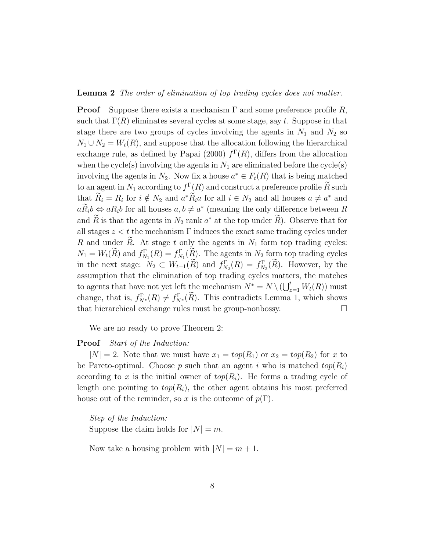#### Lemma 2 The order of elimination of top trading cycles does not matter.

**Proof** Suppose there exists a mechanism  $\Gamma$  and some preference profile R, such that  $\Gamma(R)$  eliminates several cycles at some stage, say t. Suppose in that stage there are two groups of cycles involving the agents in  $N_1$  and  $N_2$  so  $N_1 \cup N_2 = W_t(R)$ , and suppose that the allocation following the hierarchical exchange rule, as defined by Papai (2000)  $f^{(R)}(R)$ , differs from the allocation when the cycle(s) involving the agents in  $N_1$  are eliminated before the cycle(s) involving the agents in  $N_2$ . Now fix a house  $a^* \in F_t(R)$  that is being matched to an agent in  $N_1$  according to  $f^{\Gamma}(R)$  and construct a preference profile  $\widetilde{R}$  such  $\widetilde{R}$ that  $\tilde{R}_i = R_i$  for  $i \notin N_2$  and  $a^* \tilde{R}_i a$  for all  $i \in N_2$  and all houses  $a \neq a^*$  and  $a\ddot{R}_i b \Leftrightarrow aR_i b$  for all houses  $a, b \neq a^*$  (meaning the only difference between R and  $\tilde{R}$  is that the agents in  $N_2$  rank  $a^*$  at the top under  $\tilde{R}$ ). Observe that for all stages  $z < t$  the mechanism  $\Gamma$  induces the exact same trading cycles under R and under  $\widetilde{R}$ . At stage t only the agents in  $N_1$  form top trading cycles:  $N_1 = W_t(\tilde{R})$  and  $f_{N_1}^{\Gamma}(R) = f_{N_1}^{\Gamma}(\tilde{R})$ . The agents in  $N_2$  form top trading cycles in the next stage:  $N_2 \subset W_{t+1}(R)$  and  $f_{N_2}^{\Gamma}(R) = f_{N_2}^{\Gamma}(R)$ . However, by the assumption that the elimination of top trading cycles matters, the matches to agents that have not yet left the mechanism  $N^* = N \setminus (\bigcup_{z=1}^t W_t(R))$  must change, that is,  $f_{N^*}^{\Gamma}(R) \neq f_{N^*}^{\Gamma}(R)$ . This contradicts Lemma 1, which shows that hierarchical exchange rules must be group-nonbossy.

We are no ready to prove Theorem 2:

#### Proof Start of the Induction:

 $|N| = 2$ . Note that we must have  $x_1 = top(R_1)$  or  $x_2 = top(R_2)$  for x to be Pareto-optimal. Choose p such that an agent i who is matched  $top(R_i)$ according to x is the initial owner of  $top(R_i)$ . He forms a trading cycle of length one pointing to  $top(R_i)$ , the other agent obtains his most preferred house out of the reminder, so x is the outcome of  $p(\Gamma)$ .

Step of the Induction: Suppose the claim holds for  $|N| = m$ .

Now take a housing problem with  $|N| = m + 1$ .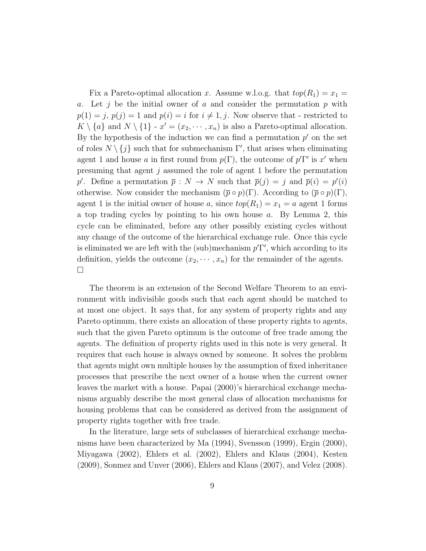Fix a Pareto-optimal allocation x. Assume w.l.o.g. that  $top(R_1) = x_1 =$ a. Let j be the initial owner of a and consider the permutation  $p$  with  $p(1) = j, p(j) = 1$  and  $p(i) = i$  for  $i \neq 1, j$ . Now observe that - restricted to  $K \setminus \{a\}$  and  $N \setminus \{1\}$  -  $x' = (x_2, \dots, x_n)$  is also a Pareto-optimal allocation. By the hypothesis of the induction we can find a permutation  $p'$  on the set of roles  $N \setminus \{j\}$  such that for submechanism  $\Gamma'$ , that arises when eliminating agent 1 and house a in first round from  $p(\Gamma)$ , the outcome of  $p'\Gamma'$  is x' when presuming that agent j assumed the role of agent 1 before the permutation p'. Define a permutation  $\bar{p}: N \to N$  such that  $\bar{p}(j) = j$  and  $\bar{p}(i) = p'(i)$ otherwise. Now consider the mechanism  $(\bar{p} \circ p)(\Gamma)$ . According to  $(\bar{p} \circ p)(\Gamma)$ , agent 1 is the initial owner of house a, since  $top(R_1) = x_1 = a$  agent 1 forms a top trading cycles by pointing to his own house a. By Lemma 2, this cycle can be eliminated, before any other possibly existing cycles without any change of the outcome of the hierarchical exchange rule. Once this cycle is eliminated we are left with the (sub)mechanism  $pT'$ , which according to its definition, yields the outcome  $(x_2, \dots, x_n)$  for the remainder of the agents.  $\Box$ 

The theorem is an extension of the Second Welfare Theorem to an environment with indivisible goods such that each agent should be matched to at most one object. It says that, for any system of property rights and any Pareto optimum, there exists an allocation of these property rights to agents, such that the given Pareto optimum is the outcome of free trade among the agents. The definition of property rights used in this note is very general. It requires that each house is always owned by someone. It solves the problem that agents might own multiple houses by the assumption of fixed inheritance processes that prescribe the next owner of a house when the current owner leaves the market with a house. Papai (2000)'s hierarchical exchange mechanisms arguably describe the most general class of allocation mechanisms for housing problems that can be considered as derived from the assignment of property rights together with free trade.

In the literature, large sets of subclasses of hierarchical exchange mechanisms have been characterized by Ma (1994), Svensson (1999), Ergin (2000), Miyagawa (2002), Ehlers et al. (2002), Ehlers and Klaus (2004), Kesten (2009), Sonmez and Unver (2006), Ehlers and Klaus (2007), and Velez (2008).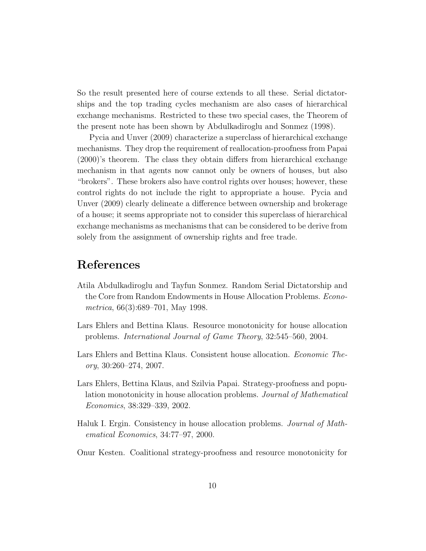So the result presented here of course extends to all these. Serial dictatorships and the top trading cycles mechanism are also cases of hierarchical exchange mechanisms. Restricted to these two special cases, the Theorem of the present note has been shown by Abdulkadiroglu and Sonmez (1998).

Pycia and Unver (2009) characterize a superclass of hierarchical exchange mechanisms. They drop the requirement of reallocation-proofness from Papai (2000)'s theorem. The class they obtain differs from hierarchical exchange mechanism in that agents now cannot only be owners of houses, but also "brokers". These brokers also have control rights over houses; however, these control rights do not include the right to appropriate a house. Pycia and Unver (2009) clearly delineate a difference between ownership and brokerage of a house; it seems appropriate not to consider this superclass of hierarchical exchange mechanisms as mechanisms that can be considered to be derive from solely from the assignment of ownership rights and free trade.

### References

- Atila Abdulkadiroglu and Tayfun Sonmez. Random Serial Dictatorship and the Core from Random Endowments in House Allocation Problems. Econometrica, 66(3):689–701, May 1998.
- Lars Ehlers and Bettina Klaus. Resource monotonicity for house allocation problems. International Journal of Game Theory, 32:545–560, 2004.
- Lars Ehlers and Bettina Klaus. Consistent house allocation. Economic Theory, 30:260–274, 2007.
- Lars Ehlers, Bettina Klaus, and Szilvia Papai. Strategy-proofness and population monotonicity in house allocation problems. Journal of Mathematical Economics, 38:329–339, 2002.
- Haluk I. Ergin. Consistency in house allocation problems. Journal of Mathematical Economics, 34:77–97, 2000.
- Onur Kesten. Coalitional strategy-proofness and resource monotonicity for